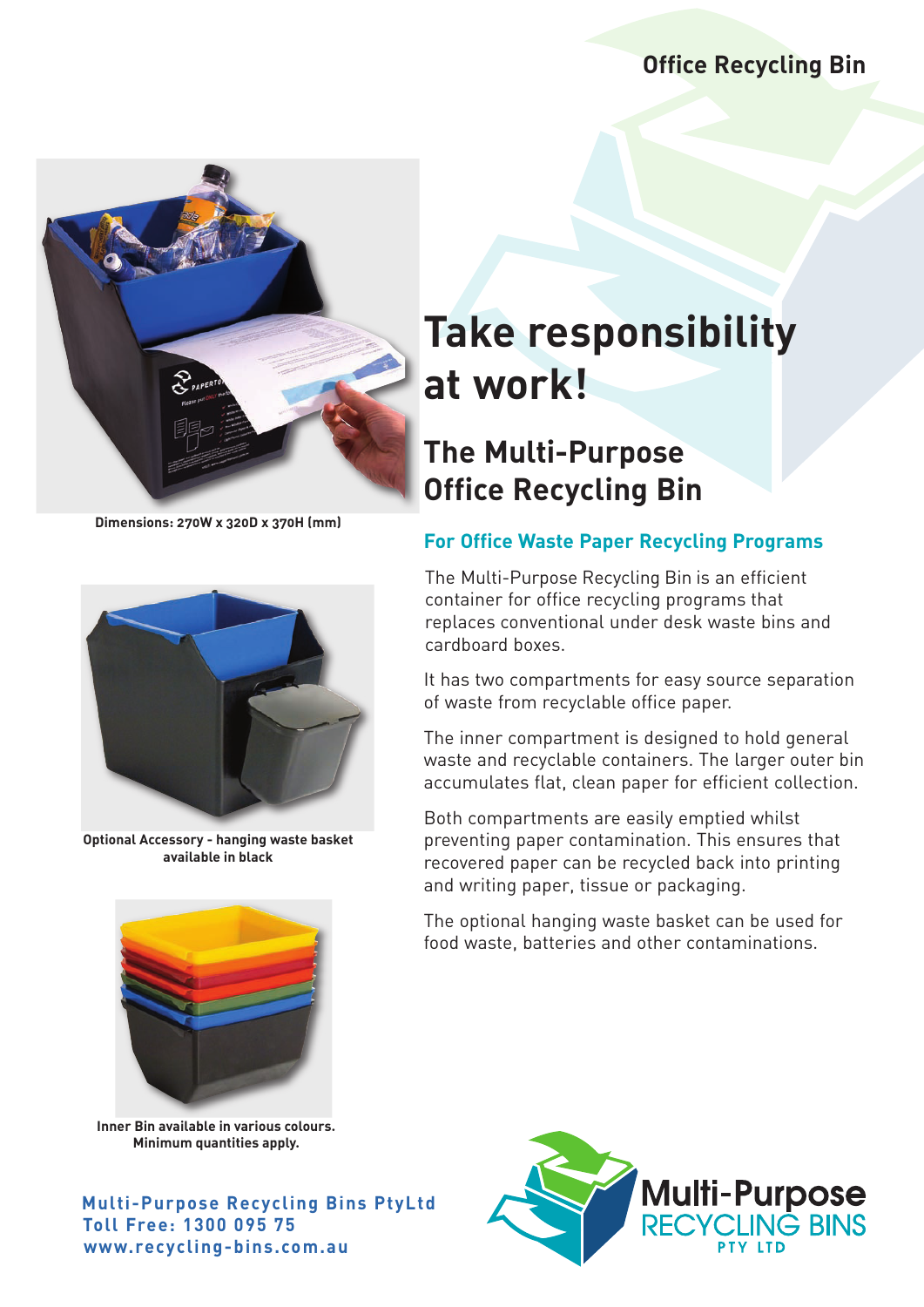## **Office Recycling Bin**



**Dimensions: 270W x 320D x 370H (mm)**



**Optional Accessory - hanging waste basket available in black**



**Inner Bin available in various colours. Minimum quantities apply.**

**Multi-Purpose Recycling Bins PtyLtd Toll Free: 1300 095 75 www.recycling-bins.com.au**

# **Take responsibility at work!**

## **e The Multi-Purpos Office Recycling Bin**

## **For Office Waste Paper Recycling Programs**

The Multi-Purpose Recycling Bin is an efficient container for office recycling programs that replaces conventional under desk waste bins and cardboard boxes.

It has two compartments for easy source separation of waste from recyclable office paper.

The inner compartment is designed to hold general waste and recyclable containers. The larger outer bin accumulates flat, clean paper for efficient collection.

Both compartments are easily emptied whilst preventing paper contamination. This ensures that recovered paper can be recycled back into printing and writing paper, tissue or packaging.

The optional hanging waste basket can be used for food waste, batteries and other contaminations.